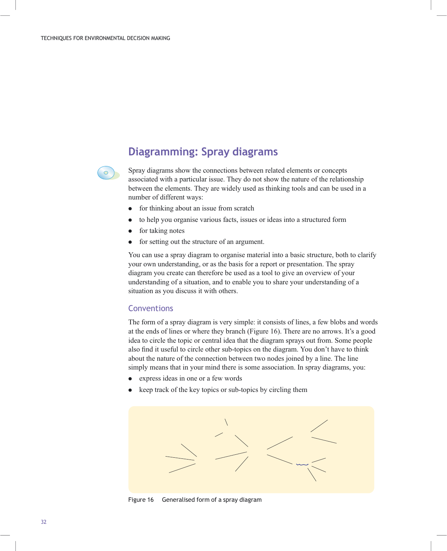$\bigcirc$ 

## Diagramming: Spray diagrams

Spray diagrams show the connections between related elements or concepts associated with a particular issue. They do not show the nature of the relationship between the elements. They are widely used as thinking tools and can be used in a number of different ways:

- . for thinking about an issue from scratch
- . to help you organise various facts, issues or ideas into a structured form
- . for taking notes
- . for setting out the structure of an argument.

You can use a spray diagram to organise material into a basic structure, both to clarify your own understanding, or as the basis for a report or presentation. The spray diagram you create can therefore be used as a tool to give an overview of your understanding of a situation, and to enable you to share your understanding of a situation as you discuss it with others.

## **Conventions**

The form of a spray diagram is very simple: it consists of lines, a few blobs and words at the ends of lines or where they branch (Figure 16). There are no arrows. It's a good idea to circle the topic or central idea that the diagram sprays out from. Some people also find it useful to circle other sub-topics on the diagram. You don't have to think about the nature of the connection between two nodes joined by a line. The line simply means that in your mind there is some association. In spray diagrams, you:

- . express ideas in one or a few words
- . keep track of the key topics or sub-topics by circling them



Figure 16 Generalised form of a spray diagram